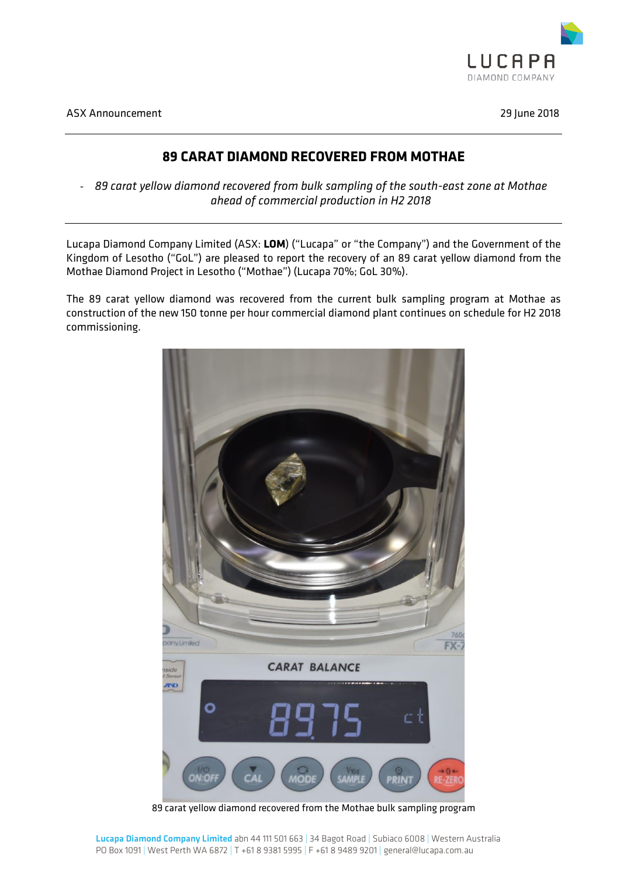

ASX Announcement 29 June 2018

## **89 CARAT DIAMOND RECOVERED FROM MOTHAE**

- *89 carat yellow diamond recovered from bulk sampling of the south-east zone at Mothae ahead of commercial production in H2 2018*

Lucapa Diamond Company Limited (ASX: **LOM**) ("Lucapa" or "the Company") and the Government of the Kingdom of Lesotho ("GoL") are pleased to report the recovery of an 89 carat yellow diamond from the Mothae Diamond Project in Lesotho ("Mothae") (Lucapa 70%; GoL 30%).

The 89 carat yellow diamond was recovered from the current bulk sampling program at Mothae as construction of the new 150 tonne per hour commercial diamond plant continues on schedule for H2 2018 commissioning.



89 carat yellow diamond recovered from the Mothae bulk sampling program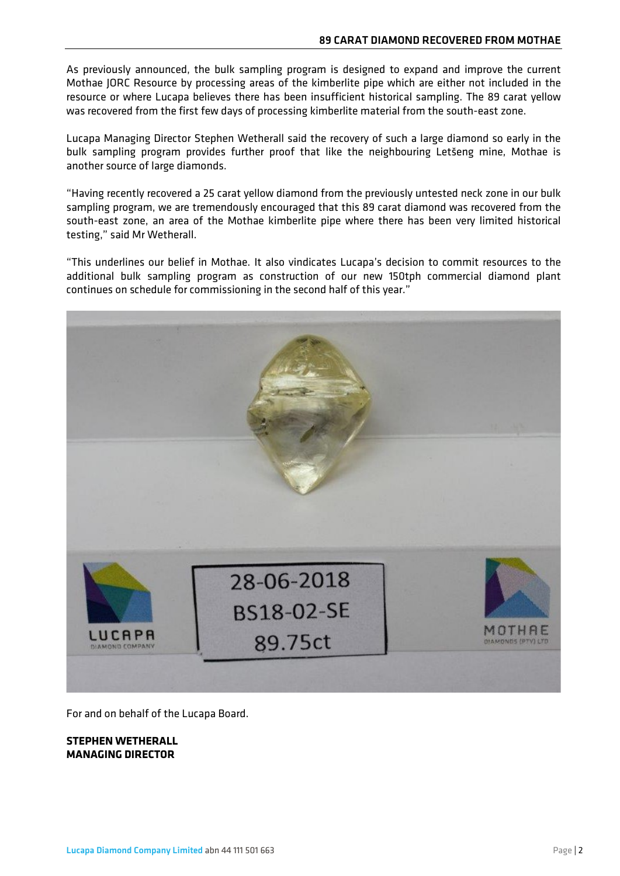As previously announced, the bulk sampling program is designed to expand and improve the current Mothae JORC Resource by processing areas of the kimberlite pipe which are either not included in the resource or where Lucapa believes there has been insufficient historical sampling. The 89 carat yellow was recovered from the first few days of processing kimberlite material from the south-east zone.

Lucapa Managing Director Stephen Wetherall said the recovery of such a large diamond so early in the bulk sampling program provides further proof that like the neighbouring Letšeng mine, Mothae is another source of large diamonds.

"Having recently recovered a 25 carat yellow diamond from the previously untested neck zone in our bulk sampling program, we are tremendously encouraged that this 89 carat diamond was recovered from the south-east zone, an area of the Mothae kimberlite pipe where there has been very limited historical testing," said Mr Wetherall.

"This underlines our belief in Mothae. It also vindicates Lucapa's decision to commit resources to the additional bulk sampling program as construction of our new 150tph commercial diamond plant continues on schedule for commissioning in the second half of this year."



For and on behalf of the Lucapa Board.

## **STEPHEN WETHERALL MANAGING DIRECTOR**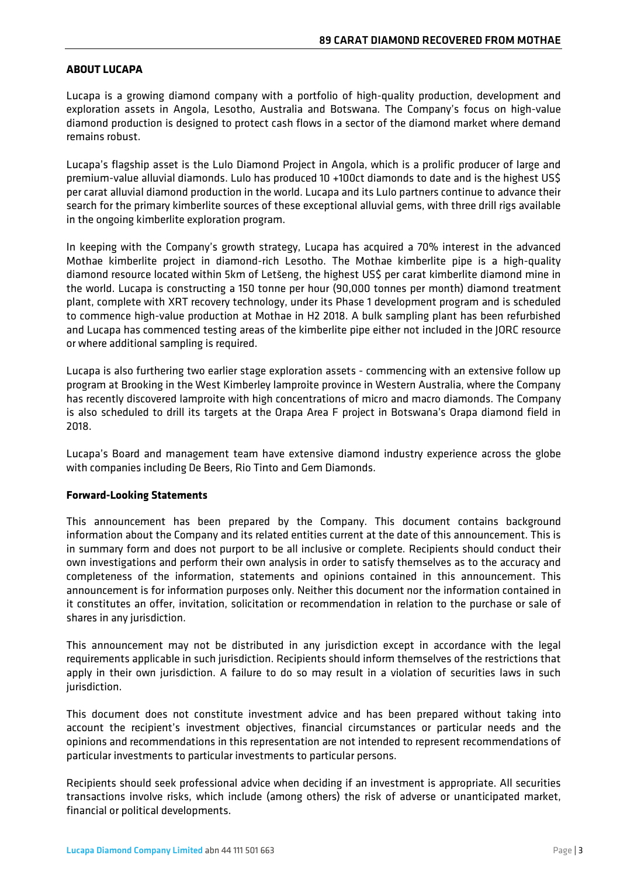## **ABOUT LUCAPA**

Lucapa is a growing diamond company with a portfolio of high-quality production, development and exploration assets in Angola, Lesotho, Australia and Botswana. The Company's focus on high-value diamond production is designed to protect cash flows in a sector of the diamond market where demand remains robust.

Lucapa's flagship asset is the Lulo Diamond Project in Angola, which is a prolific producer of large and premium-value alluvial diamonds. Lulo has produced 10 +100ct diamonds to date and is the highest US\$ per carat alluvial diamond production in the world. Lucapa and its Lulo partners continue to advance their search for the primary kimberlite sources of these exceptional alluvial gems, with three drill rigs available in the ongoing kimberlite exploration program.

In keeping with the Company's growth strategy, Lucapa has acquired a 70% interest in the advanced Mothae kimberlite project in diamond-rich Lesotho. The Mothae kimberlite pipe is a high-quality diamond resource located within 5km of Letšeng, the highest US\$ per carat kimberlite diamond mine in the world. Lucapa is constructing a 150 tonne per hour (90,000 tonnes per month) diamond treatment plant, complete with XRT recovery technology, under its Phase 1 development program and is scheduled to commence high-value production at Mothae in H2 2018. A bulk sampling plant has been refurbished and Lucapa has commenced testing areas of the kimberlite pipe either not included in the JORC resource or where additional sampling is required.

Lucapa is also furthering two earlier stage exploration assets - commencing with an extensive follow up program at Brooking in the West Kimberley lamproite province in Western Australia, where the Company has recently discovered lamproite with high concentrations of micro and macro diamonds. The Company is also scheduled to drill its targets at the Orapa Area F project in Botswana's Orapa diamond field in 2018.

Lucapa's Board and management team have extensive diamond industry experience across the globe with companies including De Beers, Rio Tinto and Gem Diamonds.

## **Forward-Looking Statements**

This announcement has been prepared by the Company. This document contains background information about the Company and its related entities current at the date of this announcement. This is in summary form and does not purport to be all inclusive or complete. Recipients should conduct their own investigations and perform their own analysis in order to satisfy themselves as to the accuracy and completeness of the information, statements and opinions contained in this announcement. This announcement is for information purposes only. Neither this document nor the information contained in it constitutes an offer, invitation, solicitation or recommendation in relation to the purchase or sale of shares in any jurisdiction.

This announcement may not be distributed in any jurisdiction except in accordance with the legal requirements applicable in such jurisdiction. Recipients should inform themselves of the restrictions that apply in their own jurisdiction. A failure to do so may result in a violation of securities laws in such jurisdiction.

This document does not constitute investment advice and has been prepared without taking into account the recipient's investment objectives, financial circumstances or particular needs and the opinions and recommendations in this representation are not intended to represent recommendations of particular investments to particular investments to particular persons.

Recipients should seek professional advice when deciding if an investment is appropriate. All securities transactions involve risks, which include (among others) the risk of adverse or unanticipated market, financial or political developments.